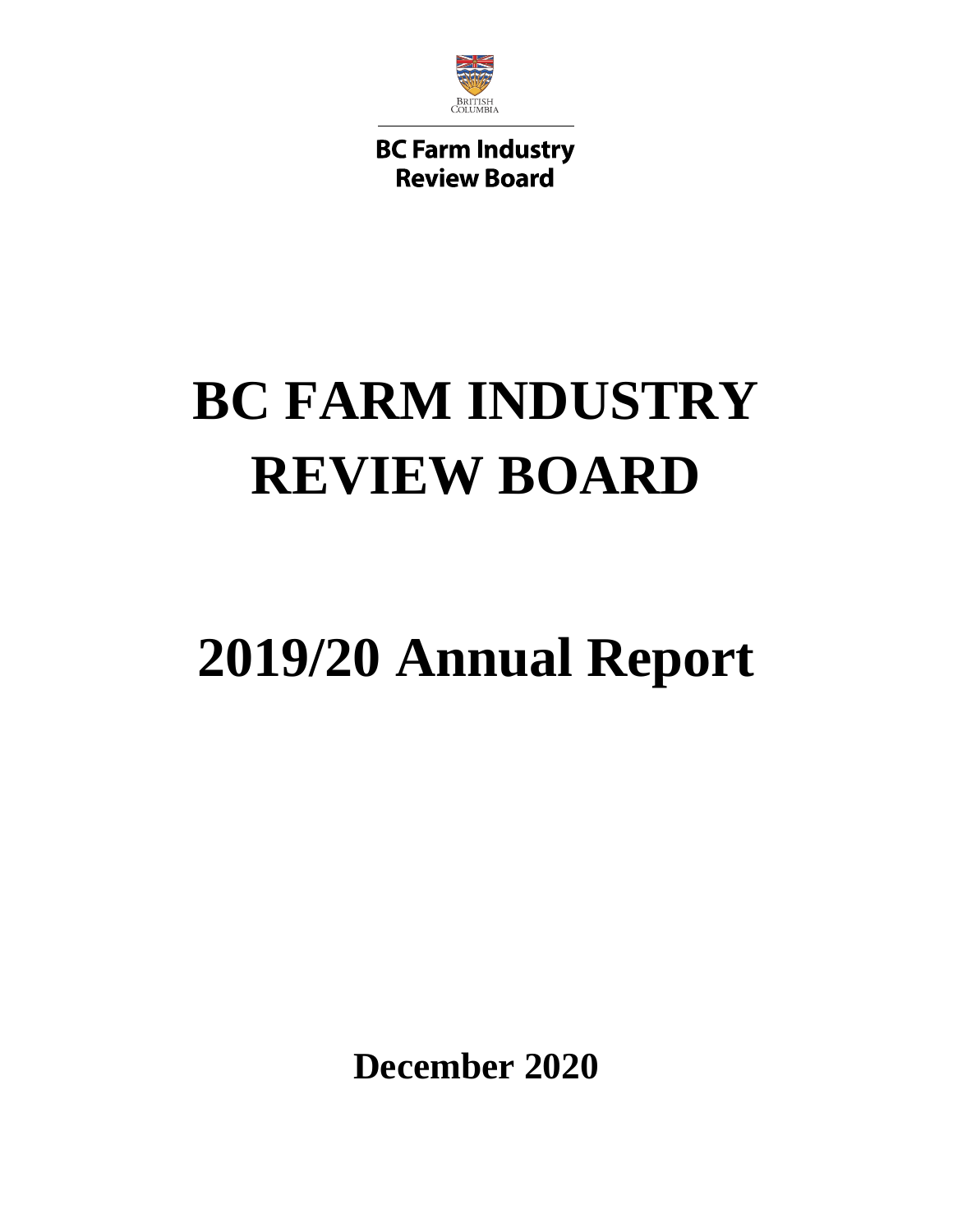

**BC Farm Industry Review Board** 

# **BC FARM INDUSTRY REVIEW BOARD**

# **2019/20 Annual Report**

**December 2020**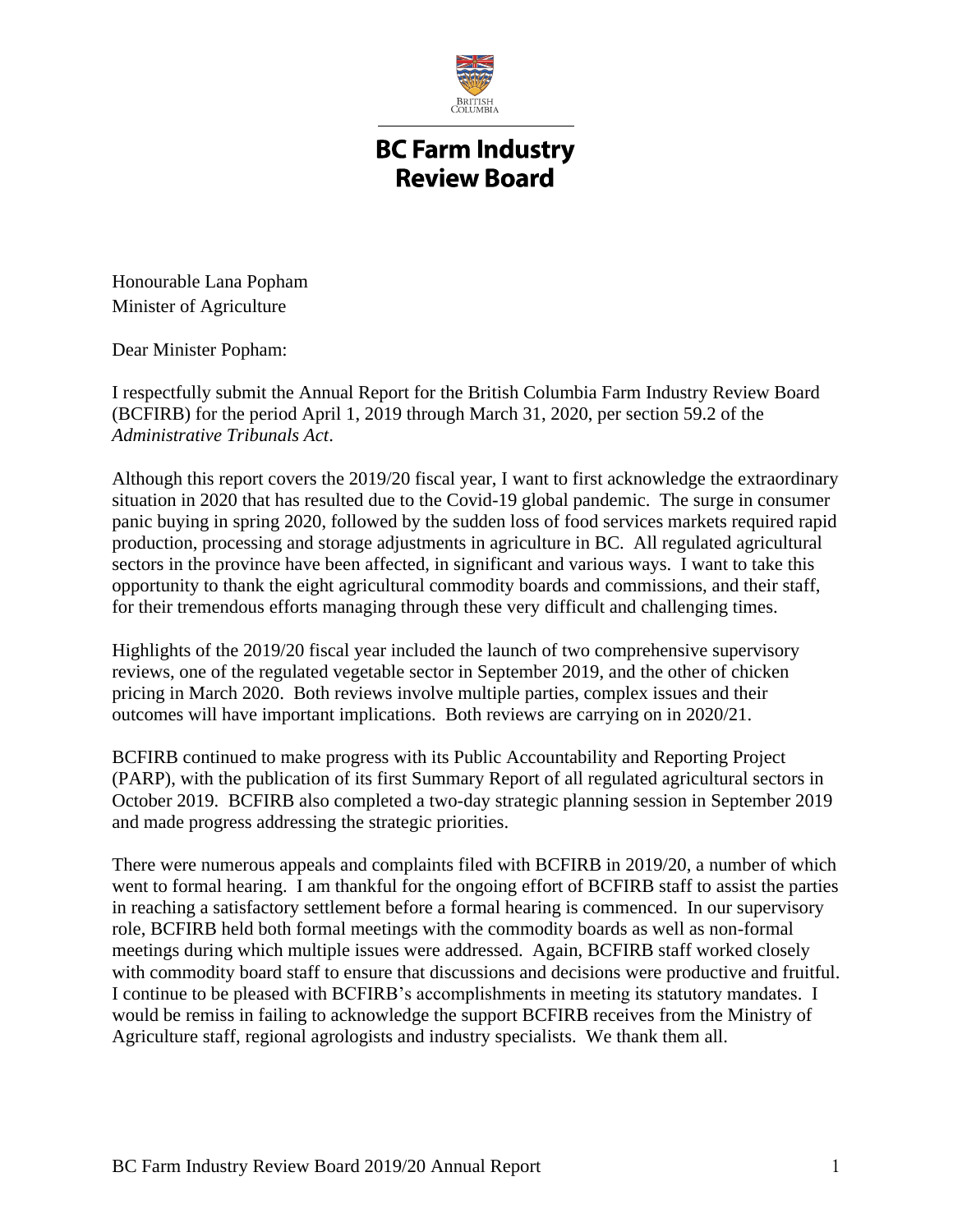

## **BC Farm Industry Review Board**

Honourable Lana Popham Minister of Agriculture

Dear Minister Popham:

I respectfully submit the Annual Report for the British Columbia Farm Industry Review Board (BCFIRB) for the period April 1, 2019 through March 31, 2020, per section 59.2 of the *Administrative Tribunals Act*.

Although this report covers the 2019/20 fiscal year, I want to first acknowledge the extraordinary situation in 2020 that has resulted due to the Covid-19 global pandemic. The surge in consumer panic buying in spring 2020, followed by the sudden loss of food services markets required rapid production, processing and storage adjustments in agriculture in BC. All regulated agricultural sectors in the province have been affected, in significant and various ways. I want to take this opportunity to thank the eight agricultural commodity boards and commissions, and their staff, for their tremendous efforts managing through these very difficult and challenging times.

Highlights of the 2019/20 fiscal year included the launch of two comprehensive supervisory reviews, one of the regulated vegetable sector in September 2019, and the other of chicken pricing in March 2020. Both reviews involve multiple parties, complex issues and their outcomes will have important implications. Both reviews are carrying on in 2020/21.

BCFIRB continued to make progress with its Public Accountability and Reporting Project (PARP), with the publication of its first Summary Report of all regulated agricultural sectors in October 2019. BCFIRB also completed a two-day strategic planning session in September 2019 and made progress addressing the strategic priorities.

There were numerous appeals and complaints filed with BCFIRB in 2019/20, a number of which went to formal hearing. I am thankful for the ongoing effort of BCFIRB staff to assist the parties in reaching a satisfactory settlement before a formal hearing is commenced. In our supervisory role, BCFIRB held both formal meetings with the commodity boards as well as non-formal meetings during which multiple issues were addressed. Again, BCFIRB staff worked closely with commodity board staff to ensure that discussions and decisions were productive and fruitful. I continue to be pleased with BCFIRB's accomplishments in meeting its statutory mandates. I would be remiss in failing to acknowledge the support BCFIRB receives from the Ministry of Agriculture staff, regional agrologists and industry specialists. We thank them all.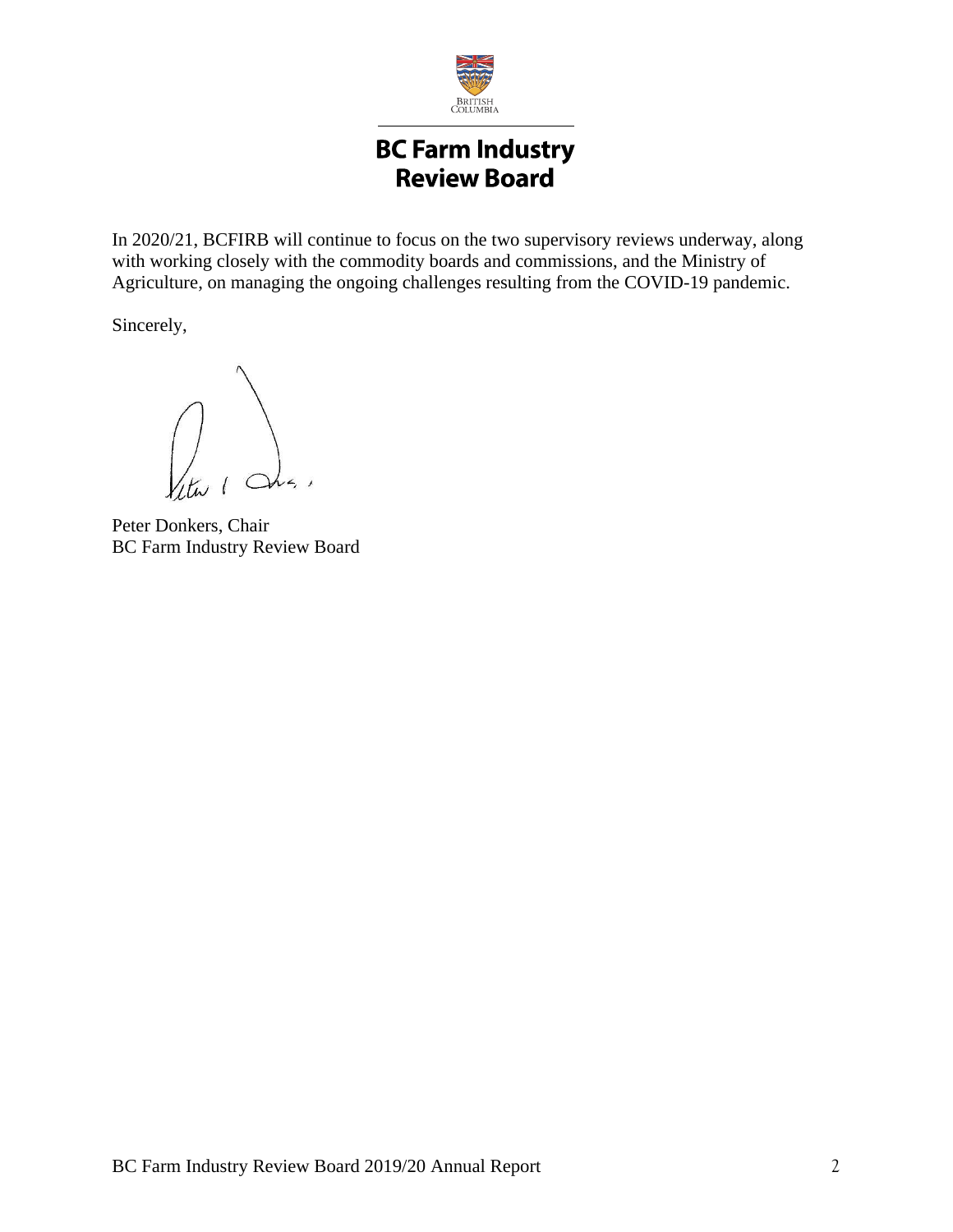

## **BC Farm Industry Review Board**

In 2020/21, BCFIRB will continue to focus on the two supervisory reviews underway, along with working closely with the commodity boards and commissions, and the Ministry of Agriculture, on managing the ongoing challenges resulting from the COVID-19 pandemic.

Sincerely,

Peter Donkers, Chair BC Farm Industry Review Board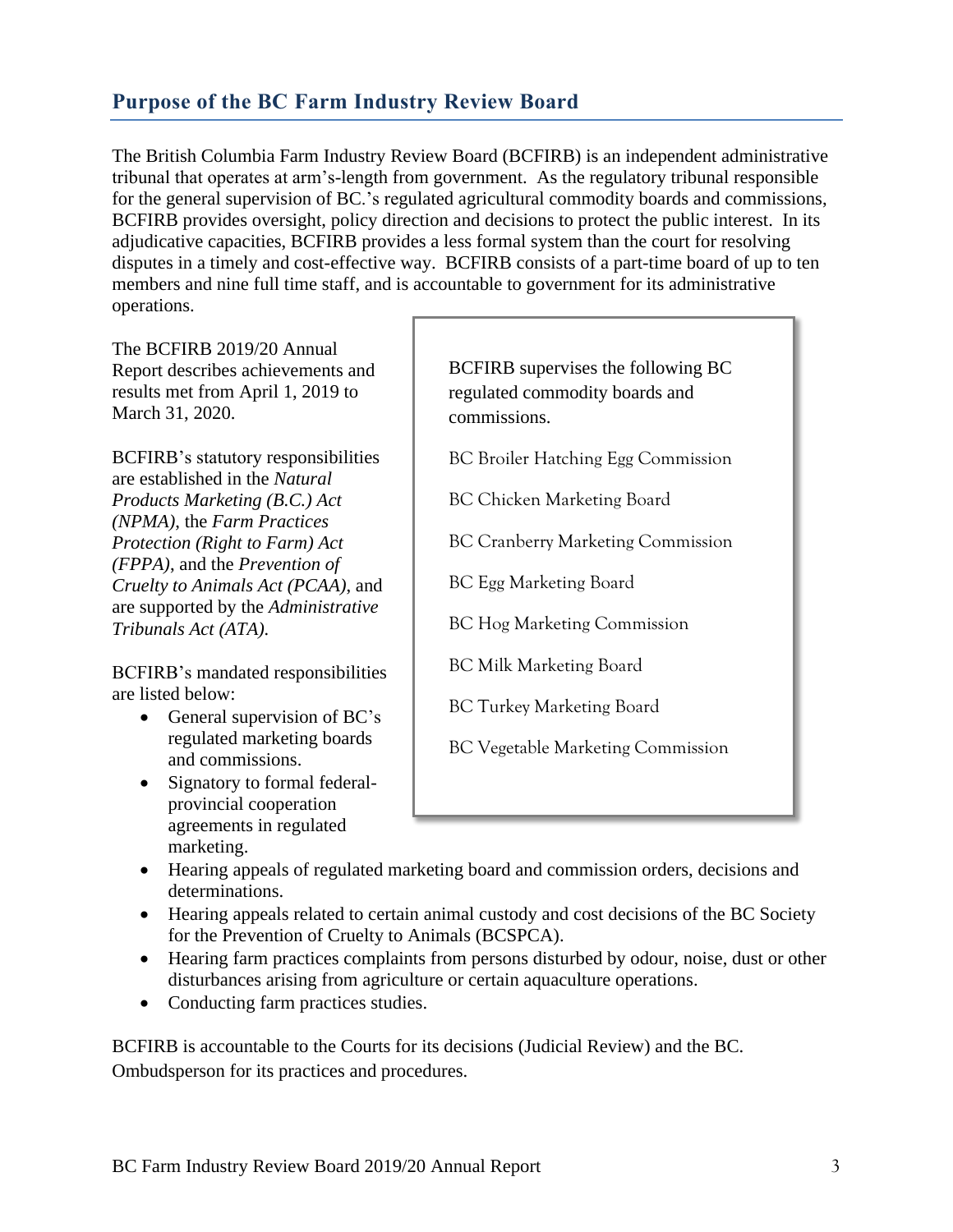## **Purpose of the BC Farm Industry Review Board**

The British Columbia Farm Industry Review Board (BCFIRB) is an independent administrative tribunal that operates at arm's-length from government. As the regulatory tribunal responsible for the general supervision of BC.'s regulated agricultural commodity boards and commissions, BCFIRB provides oversight, policy direction and decisions to protect the public interest. In its adjudicative capacities, BCFIRB provides a less formal system than the court for resolving disputes in a timely and cost-effective way. BCFIRB consists of a part-time board of up to ten members and nine full time staff, and is accountable to government for its administrative operations.

The BCFIRB 2019/20 Annual Report describes achievements and results met from April 1, 2019 to March 31, 2020.

BCFIRB's statutory responsibilities are established in the *Natural Products Marketing (B.C.) Act (NPMA)*, the *Farm Practices Protection (Right to Farm) Act (FPPA)*, and the *Prevention of Cruelty to Animals Act (PCAA)*, and are supported by the *Administrative Tribunals Act (ATA).*

BCFIRB's mandated responsibilities are listed below:

- General supervision of BC's regulated marketing boards and commissions.
- Signatory to formal federalprovincial cooperation agreements in regulated marketing.

BCFIRB supervises the following BC regulated commodity boards and commissions.

BC Broiler Hatching Egg Commission

BC Chicken Marketing Board

BC Cranberry Marketing Commission

BC Egg Marketing Board

BC Hog Marketing Commission

BC Milk Marketing Board

BC Turkey Marketing Board

BC Vegetable Marketing Commission

- Hearing appeals of regulated marketing board and commission orders, decisions and determinations.
- Hearing appeals related to certain animal custody and cost decisions of the BC Society for the Prevention of Cruelty to Animals (BCSPCA).
- Hearing farm practices complaints from persons disturbed by odour, noise, dust or other disturbances arising from agriculture or certain aquaculture operations.
- Conducting farm practices studies.

BCFIRB is accountable to the Courts for its decisions (Judicial Review) and the BC. Ombudsperson for its practices and procedures.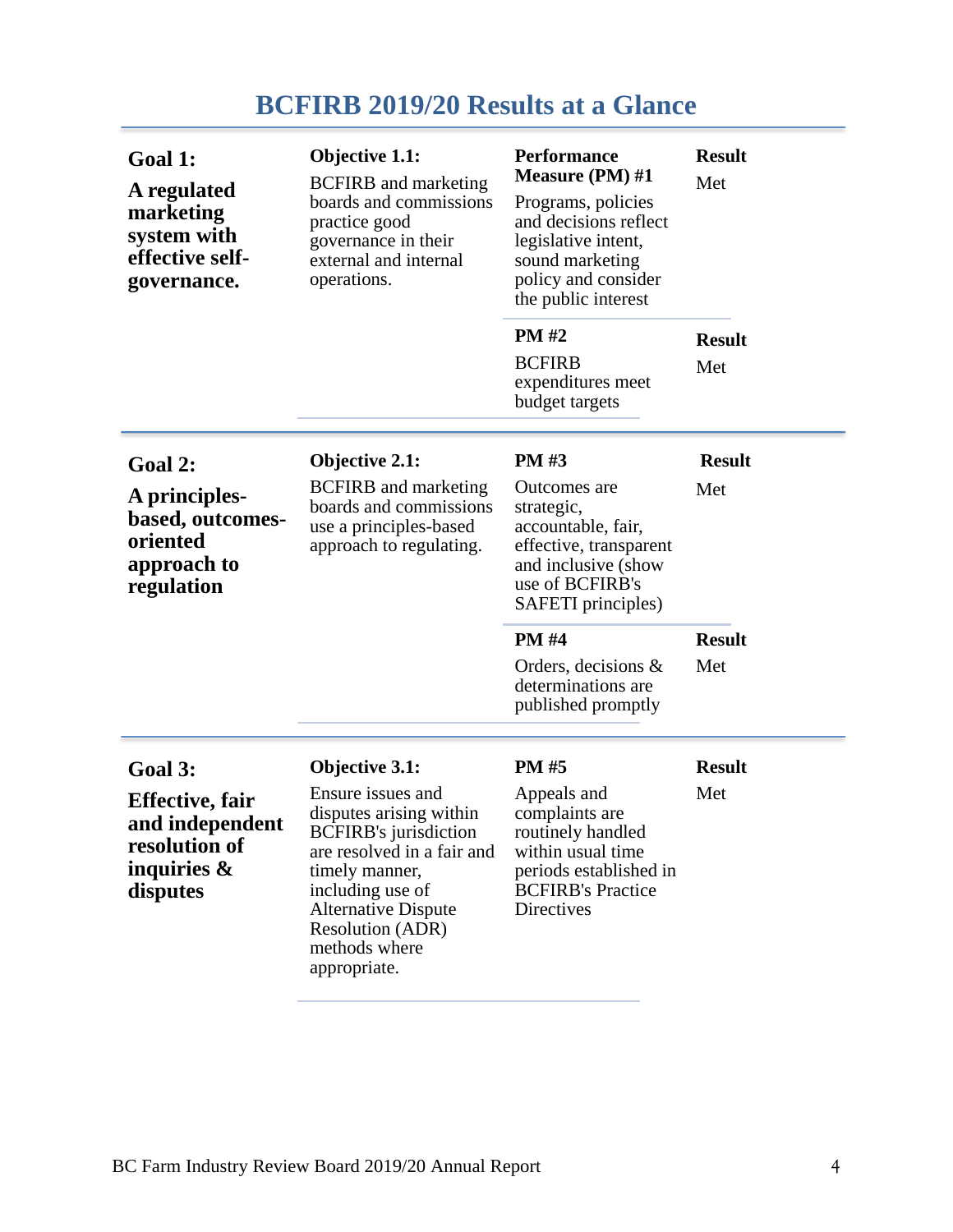# **BCFIRB 2019/20 Results at a Glance**

| Goal 1:<br>A regulated<br>marketing<br>system with<br>effective self-<br>governance.                 | Objective 1.1:<br><b>BCFIRB</b> and marketing<br>boards and commissions<br>practice good<br>governance in their<br>external and internal<br>operations.                                                                                                      | <b>Performance</b><br><b>Measure (PM)</b> #1<br>Programs, policies<br>and decisions reflect<br>legislative intent,<br>sound marketing<br>policy and consider<br>the public interest | <b>Result</b><br>Met |
|------------------------------------------------------------------------------------------------------|--------------------------------------------------------------------------------------------------------------------------------------------------------------------------------------------------------------------------------------------------------------|-------------------------------------------------------------------------------------------------------------------------------------------------------------------------------------|----------------------|
|                                                                                                      |                                                                                                                                                                                                                                                              | <b>PM#2</b><br><b>BCFIRB</b><br>expenditures meet<br>budget targets                                                                                                                 | <b>Result</b><br>Met |
| Goal 2:<br>A principles-<br>based, outcomes-<br>oriented<br>approach to<br>regulation                | Objective 2.1:<br><b>BCFIRB</b> and marketing<br>boards and commissions<br>use a principles-based<br>approach to regulating.                                                                                                                                 | <b>PM#3</b><br>Outcomes are<br>strategic,<br>accountable, fair,<br>effective, transparent<br>and inclusive (show<br>use of BCFIRB's<br>SAFETI principles)                           |                      |
|                                                                                                      |                                                                                                                                                                                                                                                              | <b>PM#4</b><br>Orders, decisions $\&$<br>determinations are<br>published promptly                                                                                                   | <b>Result</b><br>Met |
| Goal 3:<br><b>Effective</b> , fair<br>and independent<br>resolution of<br>inquiries $\&$<br>disputes | Objective 3.1:<br>Ensure issues and<br>disputes arising within<br><b>BCFIRB's</b> jurisdiction<br>are resolved in a fair and<br>timely manner,<br>including use of<br><b>Alternative Dispute</b><br><b>Resolution (ADR)</b><br>methods where<br>appropriate. | <b>PM#5</b><br>Appeals and<br>complaints are<br>routinely handled<br>within usual time.<br>periods established in<br><b>BCFIRB's Practice</b><br><b>Directives</b>                  | <b>Result</b><br>Met |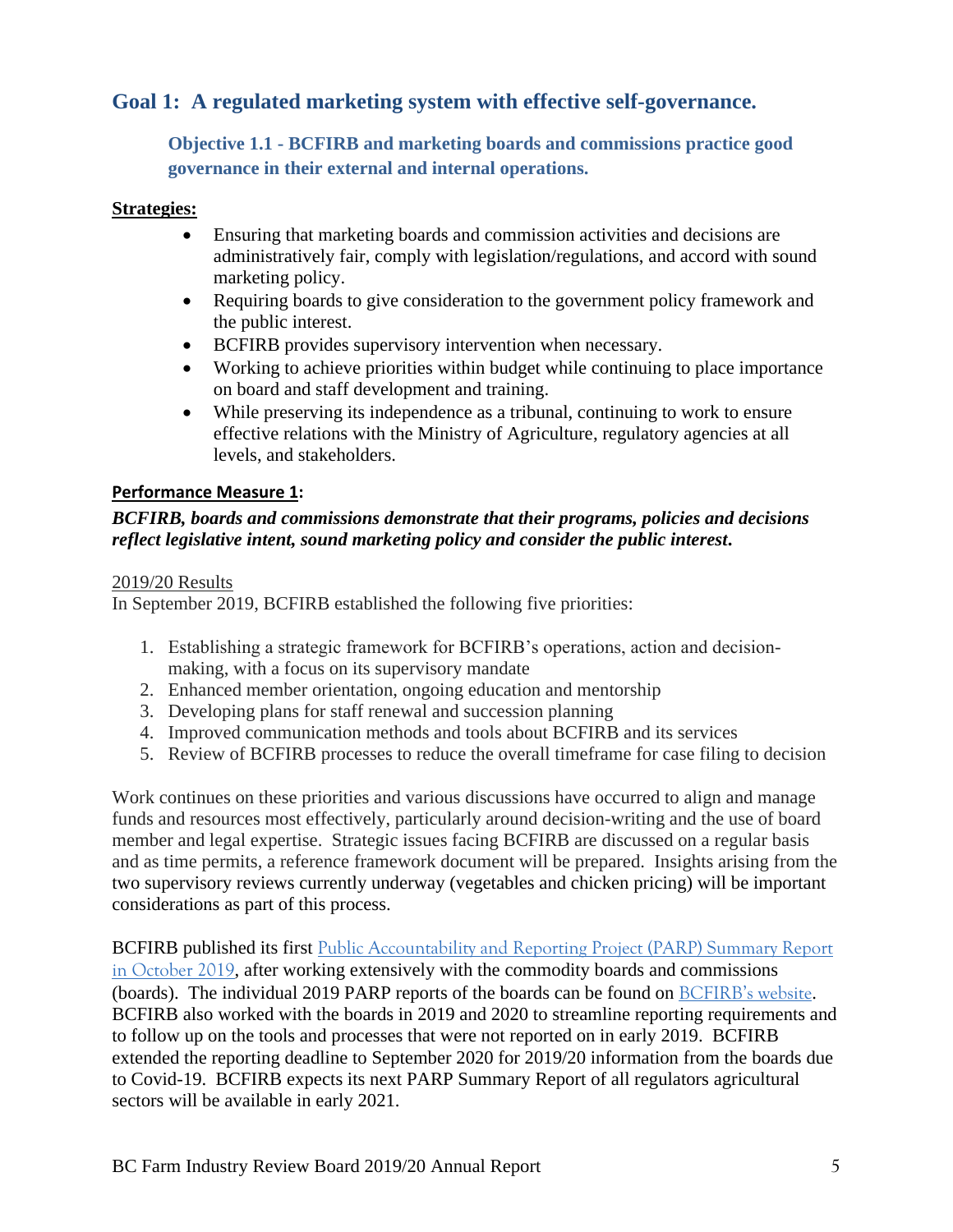## **Goal 1: A regulated marketing system with effective self-governance.**

**Objective 1.1 - BCFIRB and marketing boards and commissions practice good governance in their external and internal operations.**

#### **Strategies:**

- Ensuring that marketing boards and commission activities and decisions are administratively fair, comply with legislation/regulations, and accord with sound marketing policy.
- Requiring boards to give consideration to the government policy framework and the public interest.
- BCFIRB provides supervisory intervention when necessary.
- Working to achieve priorities within budget while continuing to place importance on board and staff development and training.
- While preserving its independence as a tribunal, continuing to work to ensure effective relations with the Ministry of Agriculture, regulatory agencies at all levels, and stakeholders.

#### **Performance Measure 1:**

#### *BCFIRB, boards and commissions demonstrate that their programs, policies and decisions reflect legislative intent, sound marketing policy and consider the public interest***.**

#### 2019/20 Results

In September 2019, BCFIRB established the following five priorities:

- 1. Establishing a strategic framework for BCFIRB's operations, action and decisionmaking, with a focus on its supervisory mandate
- 2. Enhanced member orientation, ongoing education and mentorship
- 3. Developing plans for staff renewal and succession planning
- 4. Improved communication methods and tools about BCFIRB and its services
- 5. Review of BCFIRB processes to reduce the overall timeframe for case filing to decision

Work continues on these priorities and various discussions have occurred to align and manage funds and resources most effectively, particularly around decision-writing and the use of board member and legal expertise. Strategic issues facing BCFIRB are discussed on a regular basis and as time permits, a reference framework document will be prepared. Insights arising from the two supervisory reviews currently underway (vegetables and chicken pricing) will be important considerations as part of this process.

BCFIRB published its first Public Accountability and Reporting Project (PARP) Summary Report [in October 2019](https://www2.gov.bc.ca/assets/gov/british-columbians-our-governments/organizational-structure/boards-commissions-tribunals/bc-farm-industry-review-board/public-accountability-and-reporting-project/2019_oct_17_parp_summary_report_2019.pdf), after working extensively with the commodity boards and commissions (boards). The individual 2019 PARP reports of the boards can be found on [BCFIRB's website](https://www2.gov.bc.ca/gov/content/governments/organizational-structure/ministries-organizations/boards-commissions-tribunals/bc-farm-industry-review-board/public-accountability-and-reporting-project/commodity-board-parp-reports). BCFIRB also worked with the boards in 2019 and 2020 to streamline reporting requirements and to follow up on the tools and processes that were not reported on in early 2019. BCFIRB extended the reporting deadline to September 2020 for 2019/20 information from the boards due to Covid-19. BCFIRB expects its next PARP Summary Report of all regulators agricultural sectors will be available in early 2021.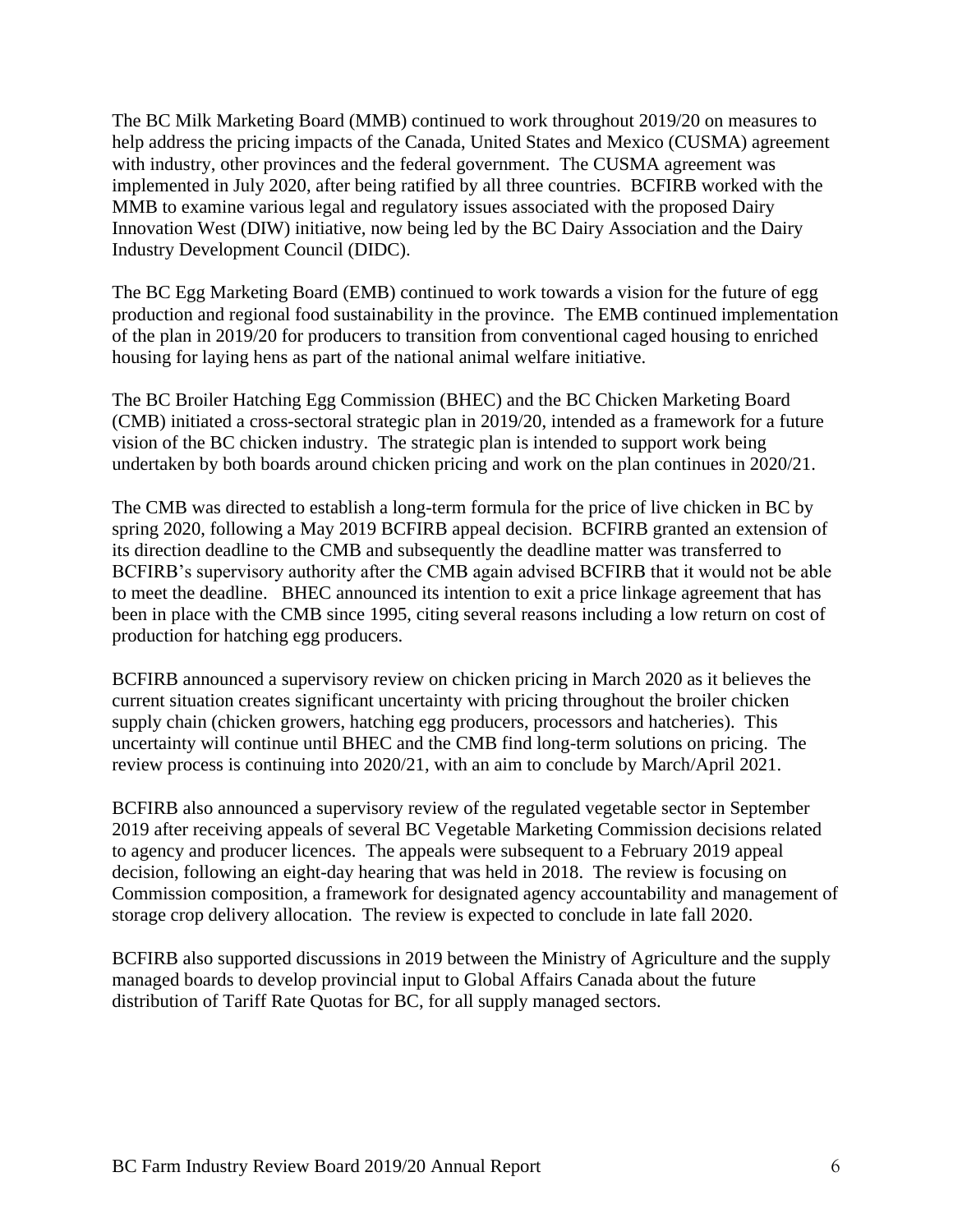The BC Milk Marketing Board (MMB) continued to work throughout 2019/20 on measures to help address the pricing impacts of the Canada, United States and Mexico (CUSMA) agreement with industry, other provinces and the federal government. The CUSMA agreement was implemented in July 2020, after being ratified by all three countries. BCFIRB worked with the MMB to examine various legal and regulatory issues associated with the proposed Dairy Innovation West (DIW) initiative, now being led by the BC Dairy Association and the Dairy Industry Development Council (DIDC).

The BC Egg Marketing Board (EMB) continued to work towards a vision for the future of egg production and regional food sustainability in the province. The EMB continued implementation of the plan in 2019/20 for producers to transition from conventional caged housing to enriched housing for laying hens as part of the national animal welfare initiative.

The BC Broiler Hatching Egg Commission (BHEC) and the BC Chicken Marketing Board (CMB) initiated a cross-sectoral strategic plan in 2019/20, intended as a framework for a future vision of the BC chicken industry. The strategic plan is intended to support work being undertaken by both boards around chicken pricing and work on the plan continues in 2020/21.

The CMB was directed to establish a long-term formula for the price of live chicken in BC by spring 2020, following a May 2019 BCFIRB appeal decision. BCFIRB granted an extension of its direction deadline to the CMB and subsequently the deadline matter was transferred to BCFIRB's supervisory authority after the CMB again advised BCFIRB that it would not be able to meet the deadline. BHEC announced its intention to exit a price linkage agreement that has been in place with the CMB since 1995, citing several reasons including a low return on cost of production for hatching egg producers.

BCFIRB announced a supervisory review on chicken pricing in March 2020 as it believes the current situation creates significant uncertainty with pricing throughout the broiler chicken supply chain (chicken growers, hatching egg producers, processors and hatcheries). This uncertainty will continue until BHEC and the CMB find long-term solutions on pricing. The review process is continuing into 2020/21, with an aim to conclude by March/April 2021.

BCFIRB also announced a supervisory review of the regulated vegetable sector in September 2019 after receiving appeals of several BC Vegetable Marketing Commission decisions related to agency and producer licences. The appeals were subsequent to a February 2019 appeal decision, following an eight-day hearing that was held in 2018. The review is focusing on Commission composition, a framework for designated agency accountability and management of storage crop delivery allocation. The review is expected to conclude in late fall 2020.

BCFIRB also supported discussions in 2019 between the Ministry of Agriculture and the supply managed boards to develop provincial input to Global Affairs Canada about the future distribution of Tariff Rate Quotas for BC, for all supply managed sectors.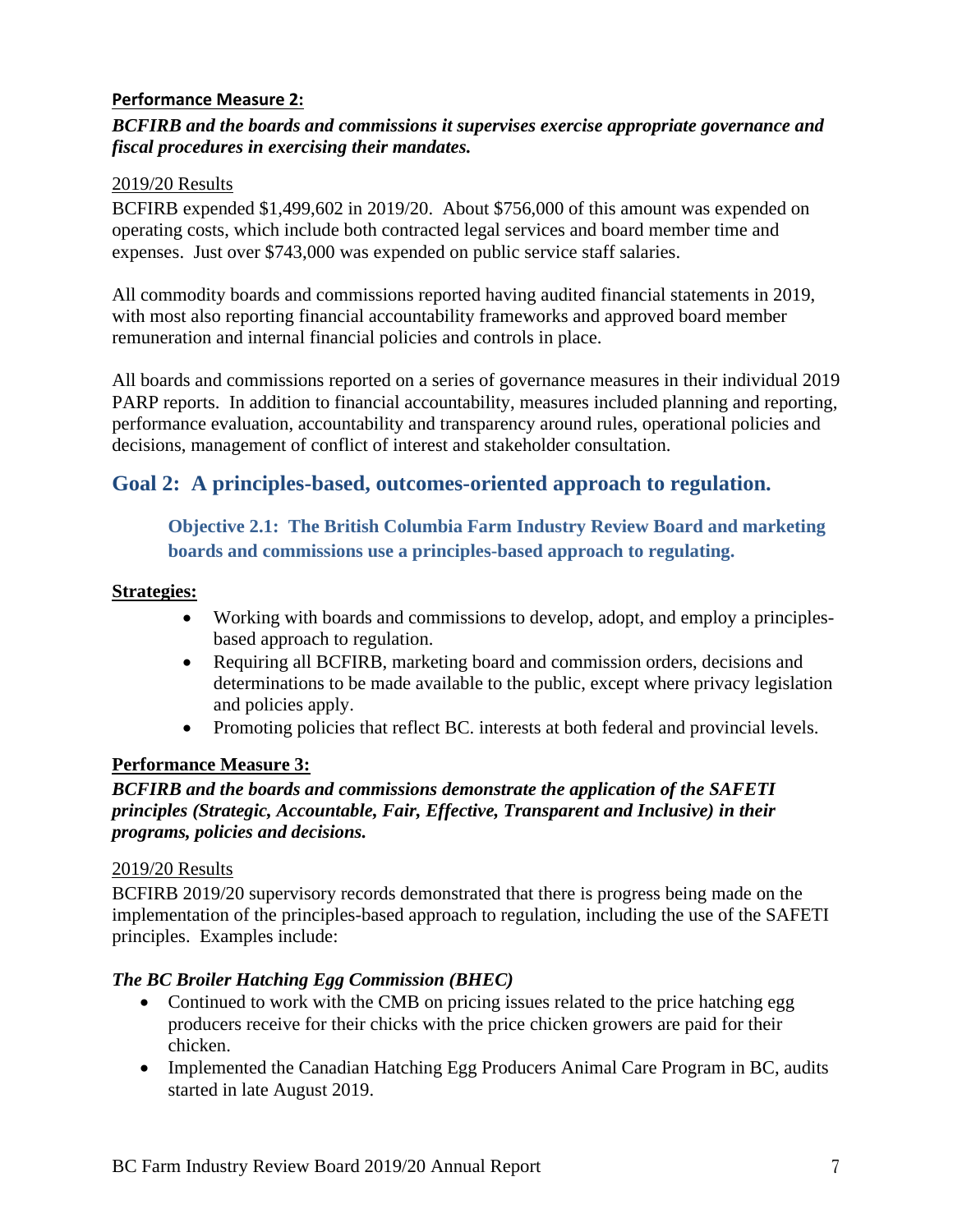#### **Performance Measure 2:**

#### *BCFIRB and the boards and commissions it supervises exercise appropriate governance and fiscal procedures in exercising their mandates.*

#### 2019/20 Results

BCFIRB expended \$1,499,602 in 2019/20. About \$756,000 of this amount was expended on operating costs, which include both contracted legal services and board member time and expenses. Just over \$743,000 was expended on public service staff salaries.

All commodity boards and commissions reported having audited financial statements in 2019, with most also reporting financial accountability frameworks and approved board member remuneration and internal financial policies and controls in place.

All boards and commissions reported on a series of governance measures in their individual 2019 PARP reports. In addition to financial accountability, measures included planning and reporting, performance evaluation, accountability and transparency around rules, operational policies and decisions, management of conflict of interest and stakeholder consultation.

### **Goal 2: A principles-based, outcomes-oriented approach to regulation.**

#### **Objective 2.1: The British Columbia Farm Industry Review Board and marketing boards and commissions use a principles-based approach to regulating.**

#### **Strategies:**

- Working with boards and commissions to develop, adopt, and employ a principlesbased approach to regulation.
- Requiring all BCFIRB, marketing board and commission orders, decisions and determinations to be made available to the public, except where privacy legislation and policies apply.
- Promoting policies that reflect BC. interests at both federal and provincial levels.

#### **Performance Measure 3:**

#### *BCFIRB and the boards and commissions demonstrate the application of the SAFETI principles (Strategic, Accountable, Fair, Effective, Transparent and Inclusive) in their programs, policies and decisions.*

#### 2019/20 Results

BCFIRB 2019/20 supervisory records demonstrated that there is progress being made on the implementation of the principles-based approach to regulation, including the use of the SAFETI principles. Examples include:

#### *The BC Broiler Hatching Egg Commission (BHEC)*

- Continued to work with the CMB on pricing issues related to the price hatching egg producers receive for their chicks with the price chicken growers are paid for their chicken.
- Implemented the Canadian Hatching Egg Producers Animal Care Program in BC, audits started in late August 2019.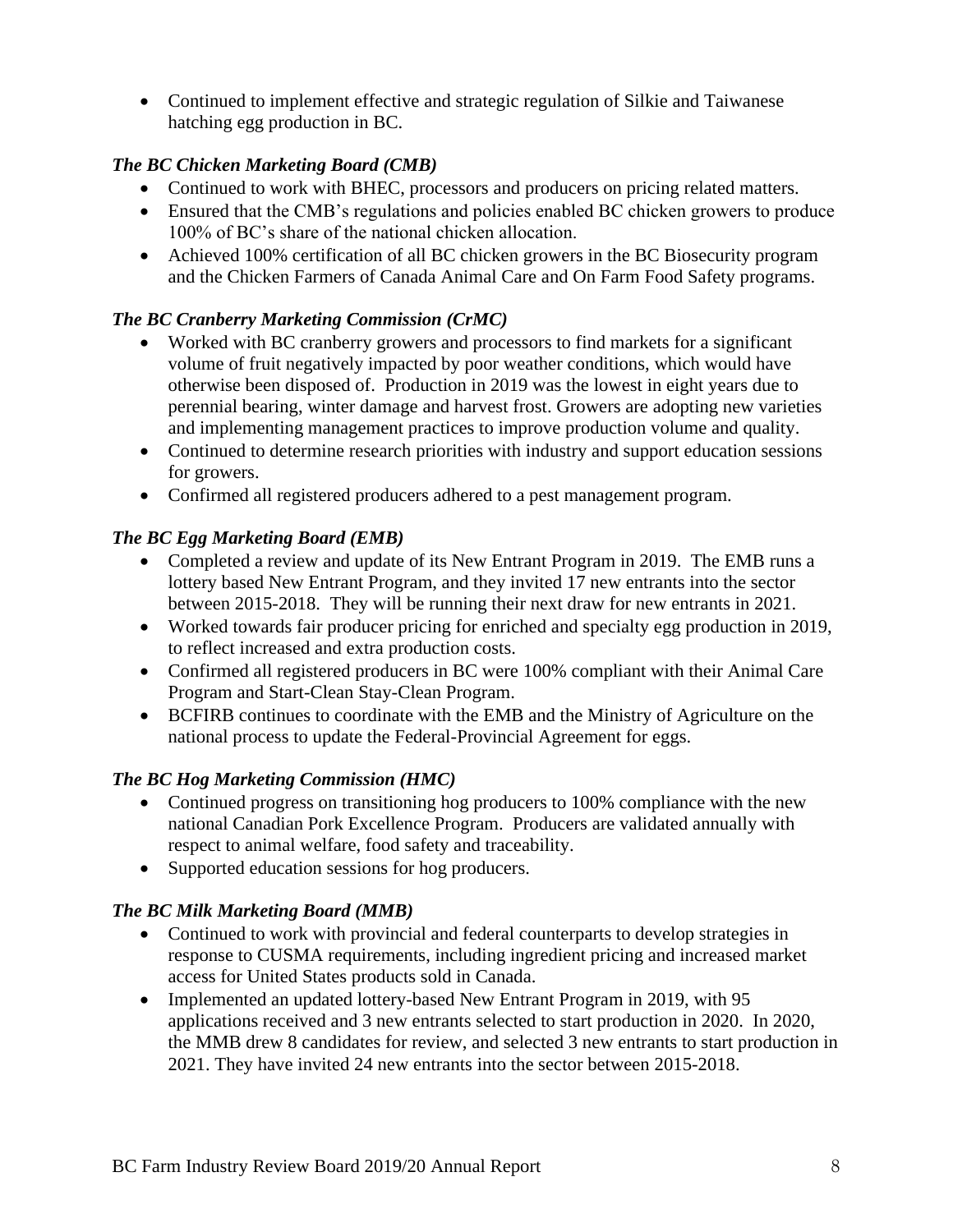• Continued to implement effective and strategic regulation of Silkie and Taiwanese hatching egg production in BC.

#### *The BC Chicken Marketing Board (CMB)*

- Continued to work with BHEC, processors and producers on pricing related matters.
- Ensured that the CMB's regulations and policies enabled BC chicken growers to produce 100% of BC's share of the national chicken allocation.
- Achieved 100% certification of all BC chicken growers in the BC Biosecurity program and the Chicken Farmers of Canada Animal Care and On Farm Food Safety programs.

#### *The BC Cranberry Marketing Commission (CrMC)*

- Worked with BC cranberry growers and processors to find markets for a significant volume of fruit negatively impacted by poor weather conditions, which would have otherwise been disposed of. Production in 2019 was the lowest in eight years due to perennial bearing, winter damage and harvest frost. Growers are adopting new varieties and implementing management practices to improve production volume and quality.
- Continued to determine research priorities with industry and support education sessions for growers.
- Confirmed all registered producers adhered to a pest management program.

#### *The BC Egg Marketing Board (EMB)*

- Completed a review and update of its New Entrant Program in 2019. The EMB runs a lottery based New Entrant Program, and they invited 17 new entrants into the sector between 2015-2018. They will be running their next draw for new entrants in 2021.
- Worked towards fair producer pricing for enriched and specialty egg production in 2019, to reflect increased and extra production costs.
- Confirmed all registered producers in BC were 100% compliant with their Animal Care Program and Start-Clean Stay-Clean Program.
- BCFIRB continues to coordinate with the EMB and the Ministry of Agriculture on the national process to update the Federal-Provincial Agreement for eggs.

#### *The BC Hog Marketing Commission (HMC)*

- Continued progress on transitioning hog producers to 100% compliance with the new national Canadian Pork Excellence Program. Producers are validated annually with respect to animal welfare, food safety and traceability.
- Supported education sessions for hog producers.

#### *The BC Milk Marketing Board (MMB)*

- Continued to work with provincial and federal counterparts to develop strategies in response to CUSMA requirements, including ingredient pricing and increased market access for United States products sold in Canada.
- Implemented an updated lottery-based New Entrant Program in 2019, with 95 applications received and 3 new entrants selected to start production in 2020. In 2020, the MMB drew 8 candidates for review, and selected 3 new entrants to start production in 2021. They have invited 24 new entrants into the sector between 2015-2018.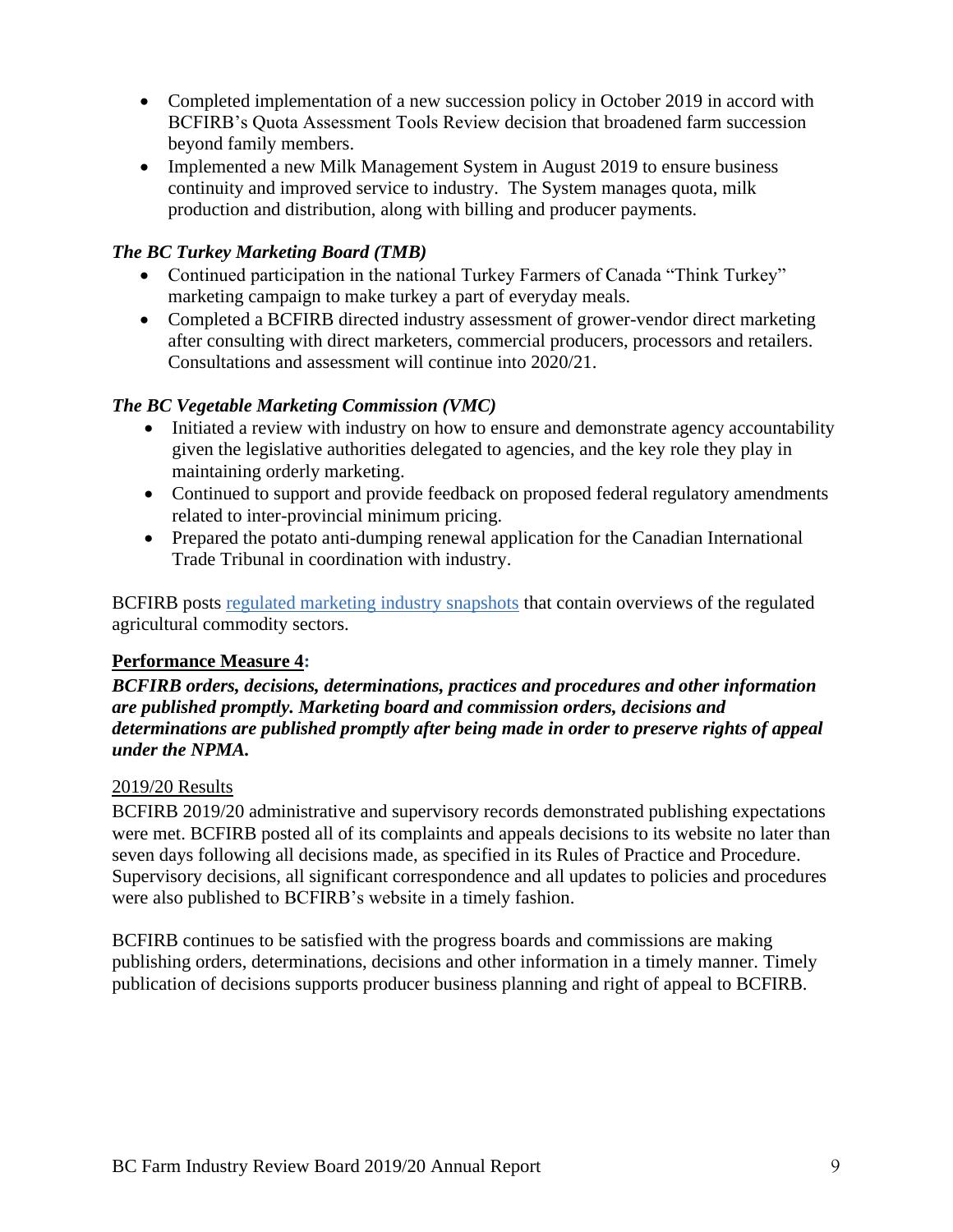- Completed implementation of a new succession policy in October 2019 in accord with BCFIRB's Quota Assessment Tools Review decision that broadened farm succession beyond family members.
- Implemented a new Milk Management System in August 2019 to ensure business continuity and improved service to industry. The System manages quota, milk production and distribution, along with billing and producer payments.

#### *The BC Turkey Marketing Board (TMB)*

- Continued participation in the national Turkey Farmers of Canada "Think Turkey" marketing campaign to make turkey a part of everyday meals.
- Completed a BCFIRB directed industry assessment of grower-vendor direct marketing after consulting with direct marketers, commercial producers, processors and retailers. Consultations and assessment will continue into 2020/21.

#### *The BC Vegetable Marketing Commission (VMC)*

- Initiated a review with industry on how to ensure and demonstrate agency accountability given the legislative authorities delegated to agencies, and the key role they play in maintaining orderly marketing.
- Continued to support and provide feedback on proposed federal regulatory amendments related to inter-provincial minimum pricing.
- Prepared the potato anti-dumping renewal application for the Canadian International Trade Tribunal in coordination with industry.

BCFIRB posts [regulated marketing industry snapshots](https://www2.gov.bc.ca/gov/content/governments/organizational-structure/ministries-organizations/boards-commissions-tribunals/bc-farm-industry-review-board/regulated-marketing) that contain overviews of the regulated agricultural commodity sectors.

#### **Performance Measure 4:**

*BCFIRB orders, decisions, determinations, practices and procedures and other information are published promptly. Marketing board and commission orders, decisions and determinations are published promptly after being made in order to preserve rights of appeal under the NPMA.* 

#### 2019/20 Results

BCFIRB 2019/20 administrative and supervisory records demonstrated publishing expectations were met. BCFIRB posted all of its complaints and appeals decisions to its website no later than seven days following all decisions made, as specified in its Rules of Practice and Procedure. Supervisory decisions, all significant correspondence and all updates to policies and procedures were also published to BCFIRB's website in a timely fashion.

BCFIRB continues to be satisfied with the progress boards and commissions are making publishing orders, determinations, decisions and other information in a timely manner. Timely publication of decisions supports producer business planning and right of appeal to BCFIRB.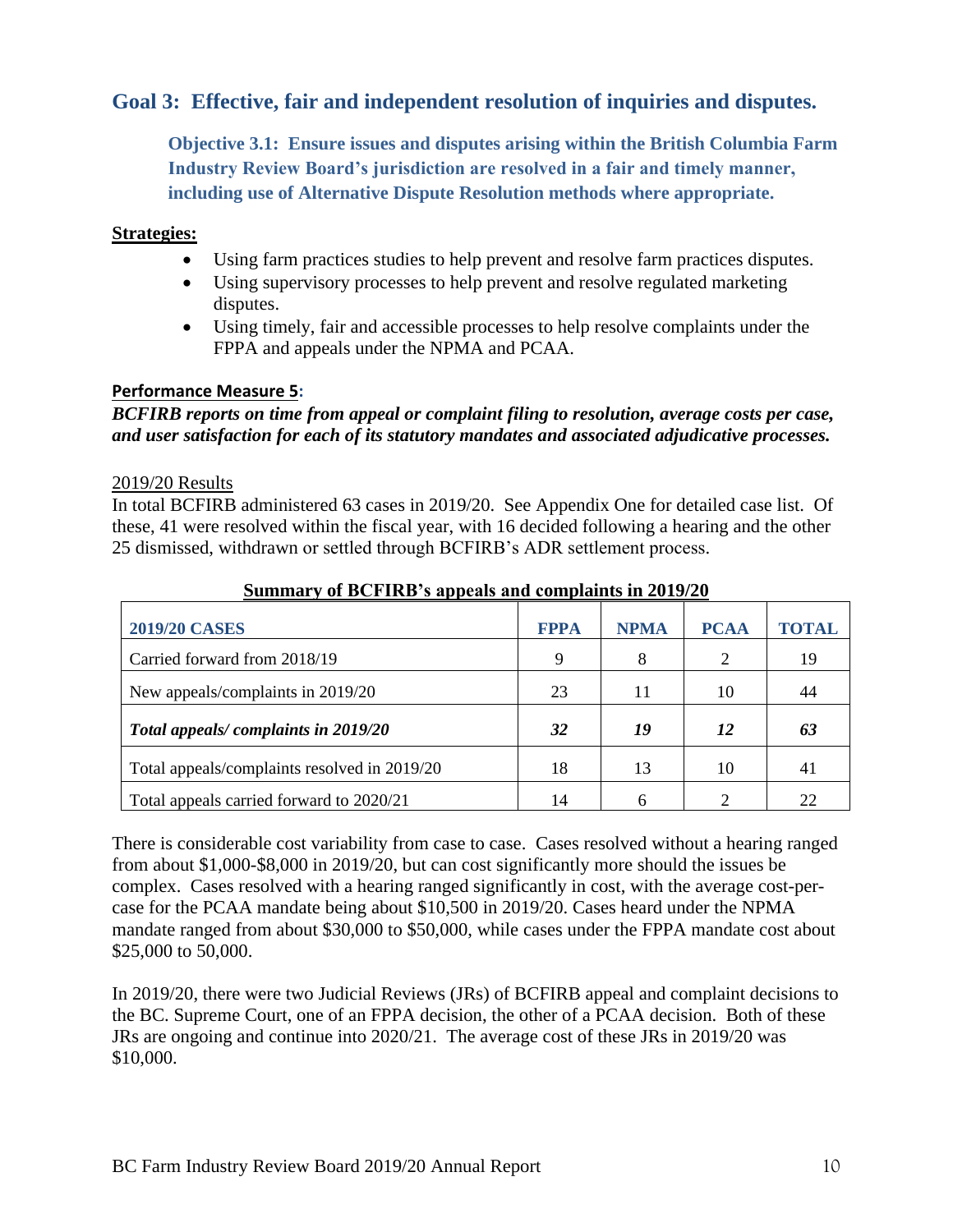### **Goal 3: Effective, fair and independent resolution of inquiries and disputes.**

**Objective 3.1: Ensure issues and disputes arising within the British Columbia Farm Industry Review Board's jurisdiction are resolved in a fair and timely manner, including use of Alternative Dispute Resolution methods where appropriate.**

#### **Strategies:**

- Using farm practices studies to help prevent and resolve farm practices disputes.
- Using supervisory processes to help prevent and resolve regulated marketing disputes.
- Using timely, fair and accessible processes to help resolve complaints under the FPPA and appeals under the NPMA and PCAA.

#### **Performance Measure 5:**

#### *BCFIRB reports on time from appeal or complaint filing to resolution, average costs per case, and user satisfaction for each of its statutory mandates and associated adjudicative processes.*

#### 2019/20 Results

In total BCFIRB administered 63 cases in 2019/20. See Appendix One for detailed case list. Of these, 41 were resolved within the fiscal year, with 16 decided following a hearing and the other 25 dismissed, withdrawn or settled through BCFIRB's ADR settlement process.

| <b>2019/20 CASES</b>                         | <b>FPPA</b> | <b>NPMA</b> | <b>PCAA</b> | TOTAL |
|----------------------------------------------|-------------|-------------|-------------|-------|
| Carried forward from 2018/19                 | 9           | 8           | 2           | 19    |
| New appeals/complaints in 2019/20            | 23          | 11          | 10          | 44    |
| Total appeals/complaints in 2019/20          | 32          | 19          | 12          | 63    |
| Total appeals/complaints resolved in 2019/20 | 18          | 13          | 10          | 41    |
| Total appeals carried forward to 2020/21     | 14          |             |             | 22    |

#### **Summary of BCFIRB's appeals and complaints in 2019/20**

There is considerable cost variability from case to case. Cases resolved without a hearing ranged from about \$1,000-\$8,000 in 2019/20, but can cost significantly more should the issues be complex. Cases resolved with a hearing ranged significantly in cost, with the average cost-percase for the PCAA mandate being about \$10,500 in 2019/20. Cases heard under the NPMA mandate ranged from about \$30,000 to \$50,000, while cases under the FPPA mandate cost about \$25,000 to 50,000.

In 2019/20, there were two Judicial Reviews (JRs) of BCFIRB appeal and complaint decisions to the BC. Supreme Court, one of an FPPA decision, the other of a PCAA decision. Both of these JRs are ongoing and continue into 2020/21. The average cost of these JRs in 2019/20 was \$10,000.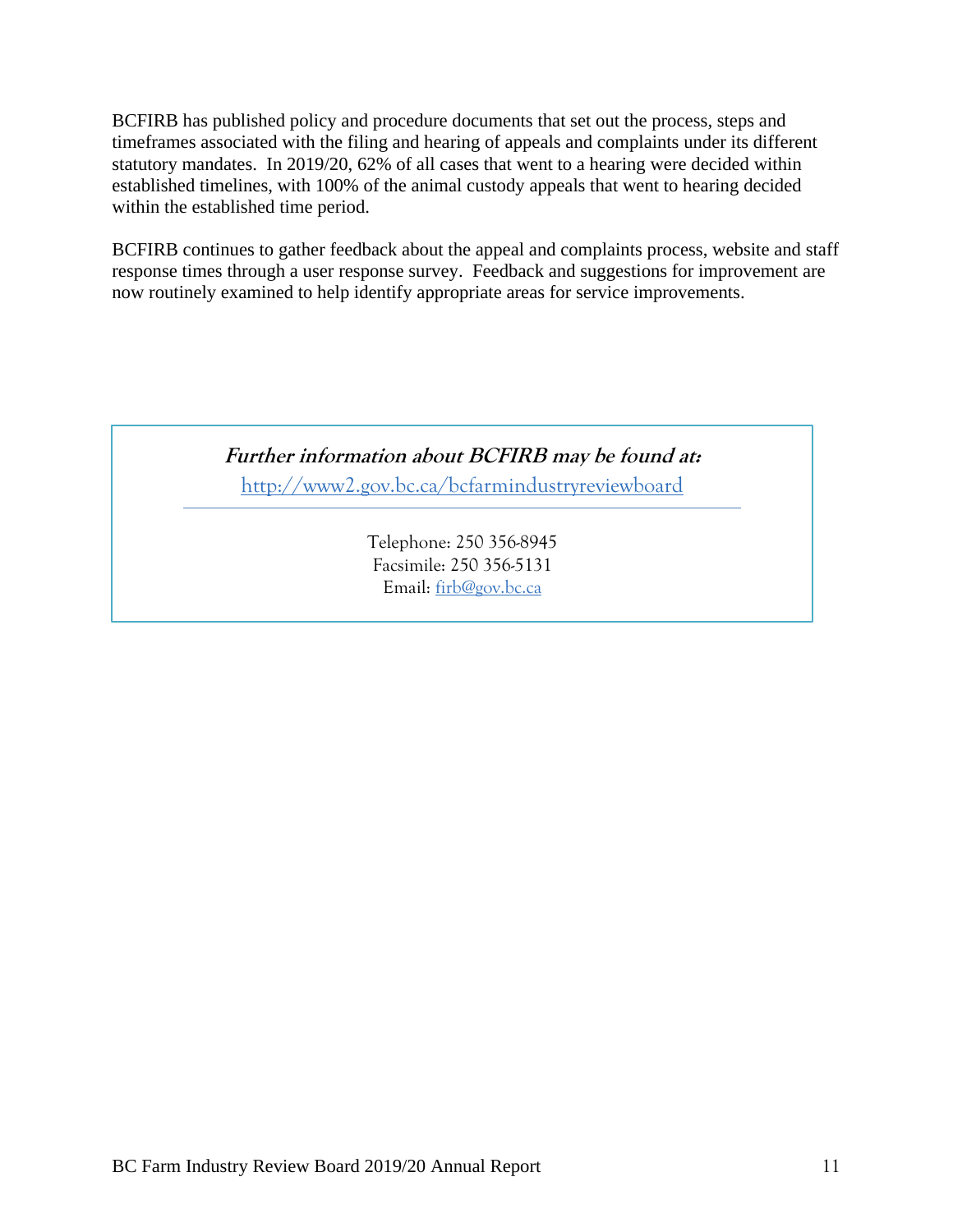BCFIRB has published policy and procedure documents that set out the process, steps and timeframes associated with the filing and hearing of appeals and complaints under its different statutory mandates. In 2019/20, 62% of all cases that went to a hearing were decided within established timelines, with 100% of the animal custody appeals that went to hearing decided within the established time period.

BCFIRB continues to gather feedback about the appeal and complaints process, website and staff response times through a user response survey. Feedback and suggestions for improvement are now routinely examined to help identify appropriate areas for service improvements.

> **Further information about BCFIRB may be found at:**  <http://www2.gov.bc.ca/bcfarmindustryreviewboard>

> > Telephone: 250 356-8945 Facsimile: 250 356-5131 Email: [firb@gov.bc.ca](mailto:firb@gov.bc.ca)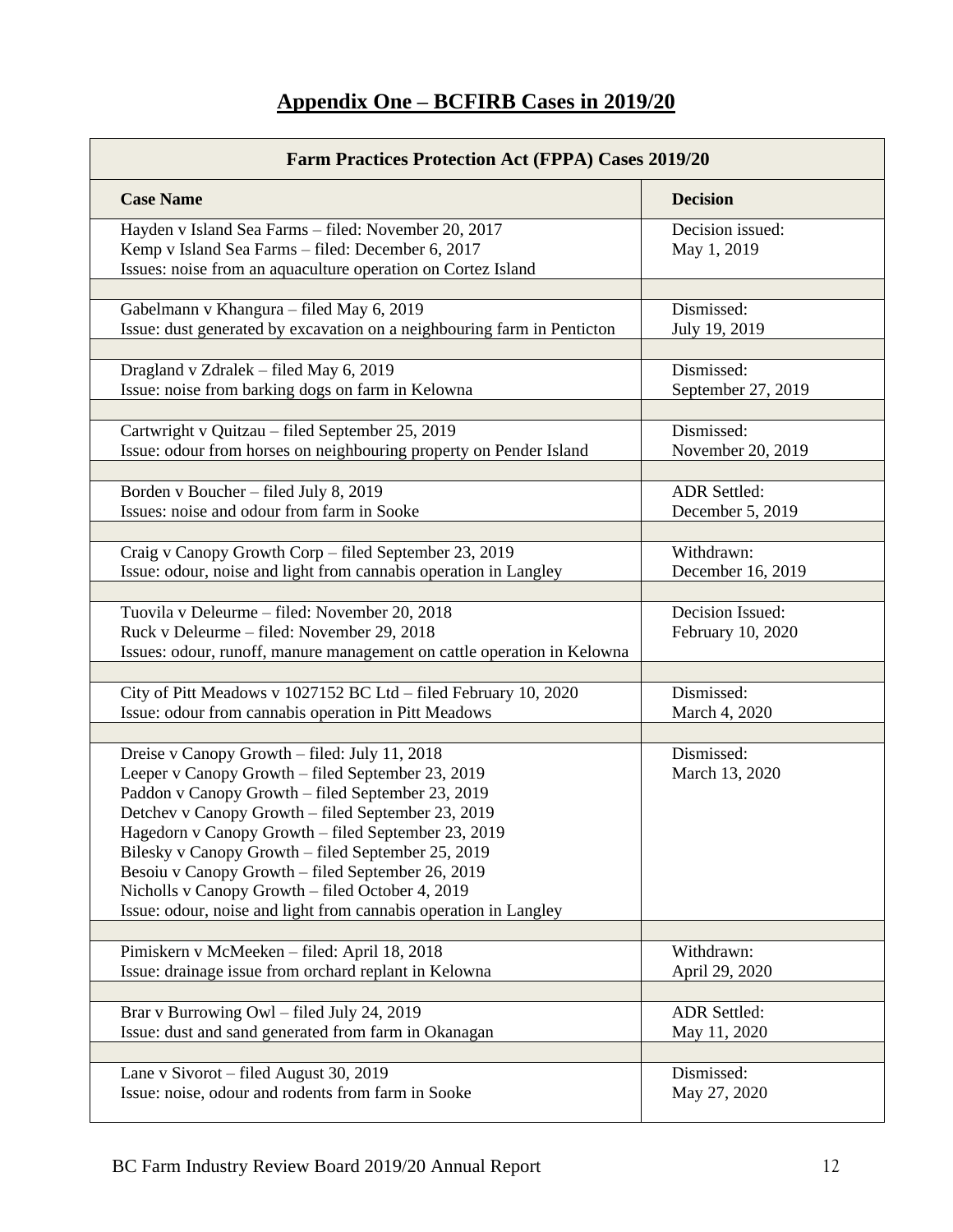# **Appendix One – BCFIRB Cases in 2019/20**

| <b>Farm Practices Protection Act (FPPA) Cases 2019/20</b>                                                                                                                                                                                                                                                                                                                                                                                                                                               |                                       |  |
|---------------------------------------------------------------------------------------------------------------------------------------------------------------------------------------------------------------------------------------------------------------------------------------------------------------------------------------------------------------------------------------------------------------------------------------------------------------------------------------------------------|---------------------------------------|--|
| <b>Case Name</b>                                                                                                                                                                                                                                                                                                                                                                                                                                                                                        | <b>Decision</b>                       |  |
| Hayden v Island Sea Farms - filed: November 20, 2017<br>Kemp v Island Sea Farms - filed: December 6, 2017<br>Issues: noise from an aquaculture operation on Cortez Island                                                                                                                                                                                                                                                                                                                               | Decision issued:<br>May 1, 2019       |  |
|                                                                                                                                                                                                                                                                                                                                                                                                                                                                                                         |                                       |  |
| Gabelmann v Khangura - filed May 6, 2019<br>Issue: dust generated by excavation on a neighbouring farm in Penticton                                                                                                                                                                                                                                                                                                                                                                                     | Dismissed:<br>July 19, 2019           |  |
| Dragland v Zdralek - filed May 6, 2019                                                                                                                                                                                                                                                                                                                                                                                                                                                                  | Dismissed:                            |  |
| Issue: noise from barking dogs on farm in Kelowna                                                                                                                                                                                                                                                                                                                                                                                                                                                       | September 27, 2019                    |  |
| Cartwright v Quitzau - filed September 25, 2019                                                                                                                                                                                                                                                                                                                                                                                                                                                         | Dismissed:                            |  |
| Issue: odour from horses on neighbouring property on Pender Island                                                                                                                                                                                                                                                                                                                                                                                                                                      | November 20, 2019                     |  |
| Borden v Boucher - filed July 8, 2019                                                                                                                                                                                                                                                                                                                                                                                                                                                                   | <b>ADR</b> Settled:                   |  |
| Issues: noise and odour from farm in Sooke                                                                                                                                                                                                                                                                                                                                                                                                                                                              | December 5, 2019                      |  |
|                                                                                                                                                                                                                                                                                                                                                                                                                                                                                                         |                                       |  |
| Craig v Canopy Growth Corp - filed September 23, 2019                                                                                                                                                                                                                                                                                                                                                                                                                                                   | Withdrawn:                            |  |
| Issue: odour, noise and light from cannabis operation in Langley                                                                                                                                                                                                                                                                                                                                                                                                                                        | December 16, 2019                     |  |
| Tuovila v Deleurme – filed: November 20, 2018<br>Ruck v Deleurme - filed: November 29, 2018<br>Issues: odour, runoff, manure management on cattle operation in Kelowna                                                                                                                                                                                                                                                                                                                                  | Decision Issued:<br>February 10, 2020 |  |
| City of Pitt Meadows v 1027152 BC Ltd - filed February 10, 2020                                                                                                                                                                                                                                                                                                                                                                                                                                         | Dismissed:                            |  |
| Issue: odour from cannabis operation in Pitt Meadows                                                                                                                                                                                                                                                                                                                                                                                                                                                    | March 4, 2020                         |  |
|                                                                                                                                                                                                                                                                                                                                                                                                                                                                                                         |                                       |  |
| Dreise v Canopy Growth - filed: July 11, 2018<br>Leeper v Canopy Growth - filed September 23, 2019<br>Paddon v Canopy Growth - filed September 23, 2019<br>Detchev v Canopy Growth - filed September 23, 2019<br>Hagedorn v Canopy Growth – filed September 23, 2019<br>Bilesky v Canopy Growth – filed September 25, 2019<br>Besoiu v Canopy Growth – filed September 26, 2019<br>Nicholls v Canopy Growth - filed October 4, 2019<br>Issue: odour, noise and light from cannabis operation in Langley | Dismissed:<br>March 13, 2020          |  |
|                                                                                                                                                                                                                                                                                                                                                                                                                                                                                                         |                                       |  |
| Pimiskern v McMeeken - filed: April 18, 2018<br>Issue: drainage issue from orchard replant in Kelowna                                                                                                                                                                                                                                                                                                                                                                                                   | Withdrawn:<br>April 29, 2020          |  |
| Brar v Burrowing Owl - filed July 24, 2019<br>Issue: dust and sand generated from farm in Okanagan                                                                                                                                                                                                                                                                                                                                                                                                      | <b>ADR</b> Settled:<br>May 11, 2020   |  |
|                                                                                                                                                                                                                                                                                                                                                                                                                                                                                                         |                                       |  |
| Lane v Sivorot - filed August 30, 2019<br>Issue: noise, odour and rodents from farm in Sooke                                                                                                                                                                                                                                                                                                                                                                                                            | Dismissed:<br>May 27, 2020            |  |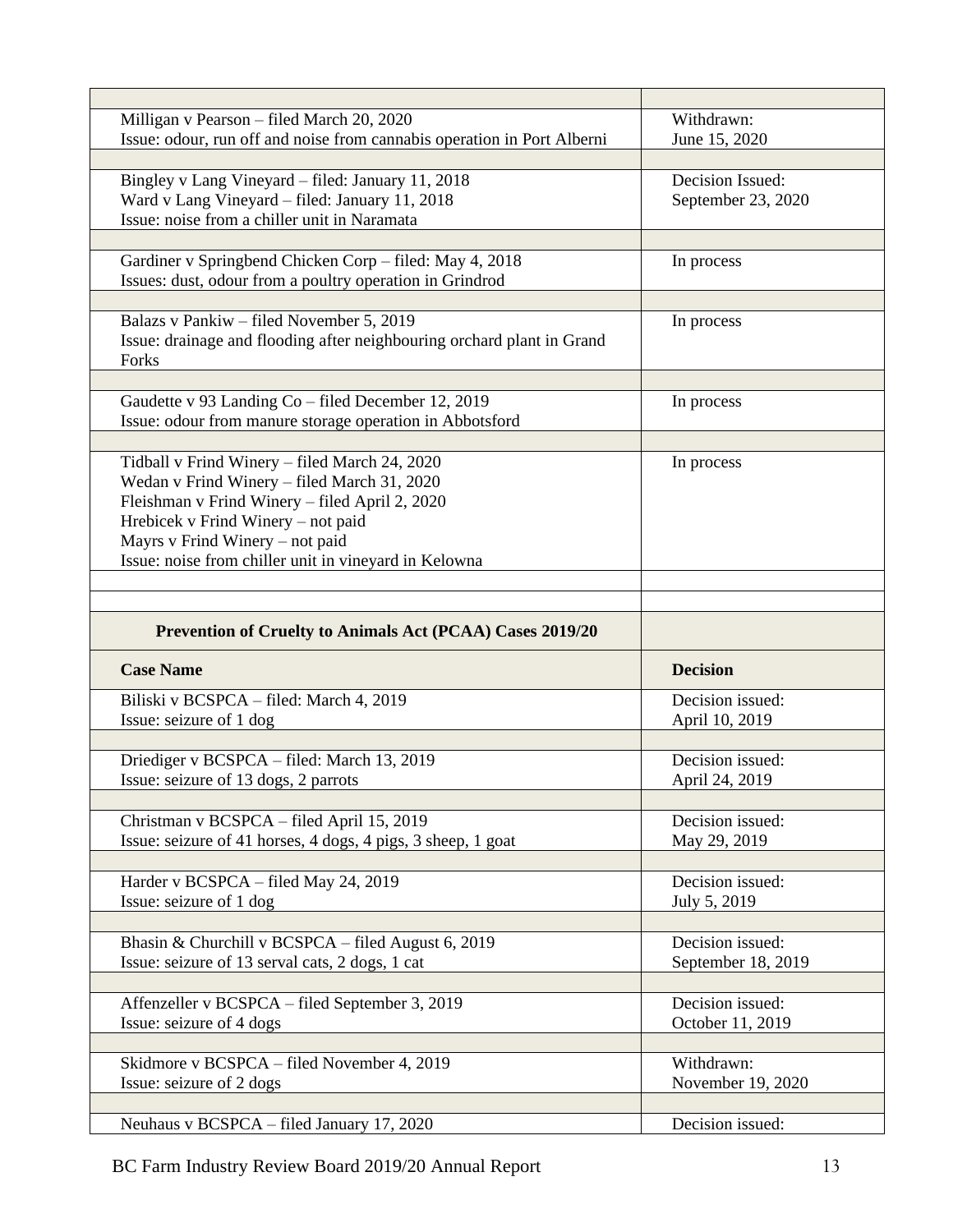| Milligan v Pearson - filed March 20, 2020                                                     | Withdrawn:         |
|-----------------------------------------------------------------------------------------------|--------------------|
| Issue: odour, run off and noise from cannabis operation in Port Alberni                       | June 15, 2020      |
|                                                                                               |                    |
| Bingley v Lang Vineyard - filed: January 11, 2018                                             | Decision Issued:   |
| Ward v Lang Vineyard - filed: January 11, 2018                                                | September 23, 2020 |
| Issue: noise from a chiller unit in Naramata                                                  |                    |
|                                                                                               |                    |
| Gardiner v Springbend Chicken Corp - filed: May 4, 2018                                       | In process         |
| Issues: dust, odour from a poultry operation in Grindrod                                      |                    |
|                                                                                               |                    |
| Balazs v Pankiw – filed November 5, 2019                                                      | In process         |
| Issue: drainage and flooding after neighbouring orchard plant in Grand                        |                    |
| Forks                                                                                         |                    |
|                                                                                               |                    |
| Gaudette v 93 Landing Co – filed December 12, 2019                                            | In process         |
| Issue: odour from manure storage operation in Abbotsford                                      |                    |
| Tidball v Frind Winery - filed March 24, 2020                                                 |                    |
|                                                                                               | In process         |
| Wedan v Frind Winery - filed March 31, 2020<br>Fleishman v Frind Winery - filed April 2, 2020 |                    |
|                                                                                               |                    |
| Hrebicek v Frind Winery - not paid<br>Mayrs v Frind Winery - not paid                         |                    |
| Issue: noise from chiller unit in vineyard in Kelowna                                         |                    |
|                                                                                               |                    |
|                                                                                               |                    |
| Prevention of Cruelty to Animals Act (PCAA) Cases 2019/20                                     |                    |
| <b>Case Name</b>                                                                              | <b>Decision</b>    |
| Biliski v BCSPCA - filed: March 4, 2019                                                       | Decision issued:   |
| Issue: seizure of 1 dog                                                                       | April 10, 2019     |
|                                                                                               |                    |
| Driediger v BCSPCA - filed: March 13, 2019                                                    | Decision issued:   |
| Issue: seizure of 13 dogs, 2 parrots                                                          | April 24, 2019     |
|                                                                                               |                    |
| Christman v BCSPCA - filed April 15, 2019                                                     | Decision issued:   |
| Issue: seizure of 41 horses, 4 dogs, 4 pigs, 3 sheep, 1 goat                                  | May 29, 2019       |
|                                                                                               |                    |
| Harder v BCSPCA - filed May 24, 2019                                                          | Decision issued:   |
| Issue: seizure of 1 dog                                                                       | July 5, 2019       |
|                                                                                               |                    |
| Bhasin & Churchill v BCSPCA – filed August 6, 2019                                            | Decision issued:   |
| Issue: seizure of 13 serval cats, 2 dogs, 1 cat                                               | September 18, 2019 |
|                                                                                               |                    |
| Affenzeller v BCSPCA – filed September 3, 2019                                                | Decision issued:   |
| Issue: seizure of 4 dogs                                                                      | October 11, 2019   |
|                                                                                               |                    |
| Skidmore v BCSPCA – filed November 4, 2019                                                    | Withdrawn:         |
| Issue: seizure of 2 dogs                                                                      | November 19, 2020  |
|                                                                                               |                    |
| Neuhaus v BCSPCA - filed January 17, 2020                                                     | Decision issued:   |
|                                                                                               |                    |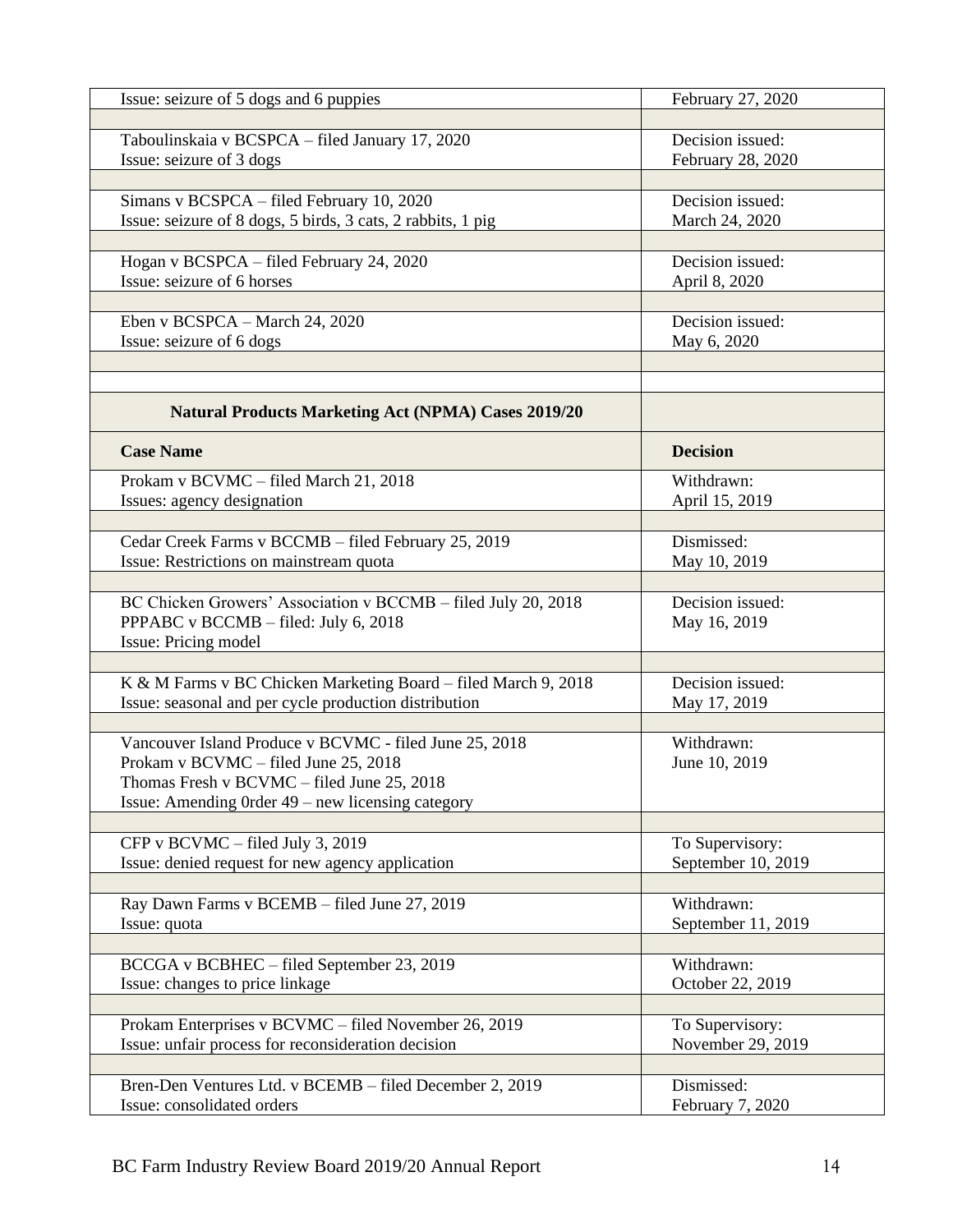| Issue: seizure of 5 dogs and 6 puppies                         | February 27, 2020  |
|----------------------------------------------------------------|--------------------|
|                                                                |                    |
| Taboulinskaia v BCSPCA - filed January 17, 2020                | Decision issued:   |
| Issue: seizure of 3 dogs                                       | February 28, 2020  |
|                                                                |                    |
| Simans v BCSPCA - filed February 10, 2020                      | Decision issued:   |
| Issue: seizure of 8 dogs, 5 birds, 3 cats, 2 rabbits, 1 pig    | March 24, 2020     |
|                                                                |                    |
| Hogan v BCSPCA - filed February 24, 2020                       | Decision issued:   |
| Issue: seizure of 6 horses                                     | April 8, 2020      |
|                                                                |                    |
| Eben v BCSPCA – March 24, 2020                                 | Decision issued:   |
| Issue: seizure of 6 dogs                                       | May 6, 2020        |
|                                                                |                    |
|                                                                |                    |
| <b>Natural Products Marketing Act (NPMA) Cases 2019/20</b>     |                    |
| <b>Case Name</b>                                               | <b>Decision</b>    |
| Prokam v BCVMC - filed March 21, 2018                          | Withdrawn:         |
| Issues: agency designation                                     | April 15, 2019     |
|                                                                |                    |
| Cedar Creek Farms v BCCMB - filed February 25, 2019            | Dismissed:         |
| Issue: Restrictions on mainstream quota                        | May 10, 2019       |
|                                                                |                    |
| BC Chicken Growers' Association v BCCMB - filed July 20, 2018  | Decision issued:   |
| PPPABC v BCCMB - filed: July 6, 2018                           | May 16, 2019       |
| Issue: Pricing model                                           |                    |
|                                                                |                    |
| K & M Farms v BC Chicken Marketing Board - filed March 9, 2018 | Decision issued:   |
| Issue: seasonal and per cycle production distribution          | May 17, 2019       |
|                                                                |                    |
| Vancouver Island Produce v BCVMC - filed June 25, 2018         | Withdrawn:         |
| Prokam v BCVMC - filed June 25, 2018                           | June 10, 2019      |
| Thomas Fresh v BCVMC – filed June 25, 2018                     |                    |
| Issue: Amending Order 49 – new licensing category              |                    |
|                                                                |                    |
| CFP v BCVMC - filed July 3, 2019                               | To Supervisory:    |
| Issue: denied request for new agency application               | September 10, 2019 |
|                                                                |                    |
| Ray Dawn Farms v BCEMB - filed June 27, 2019                   | Withdrawn:         |
| Issue: quota                                                   | September 11, 2019 |
|                                                                |                    |
| BCCGA v BCBHEC - filed September 23, 2019                      | Withdrawn:         |
| Issue: changes to price linkage                                | October 22, 2019   |
|                                                                |                    |
| Prokam Enterprises v BCVMC - filed November 26, 2019           | To Supervisory:    |
| Issue: unfair process for reconsideration decision             | November 29, 2019  |
|                                                                |                    |
| Bren-Den Ventures Ltd. v BCEMB - filed December 2, 2019        | Dismissed:         |
| Issue: consolidated orders                                     | February 7, 2020   |